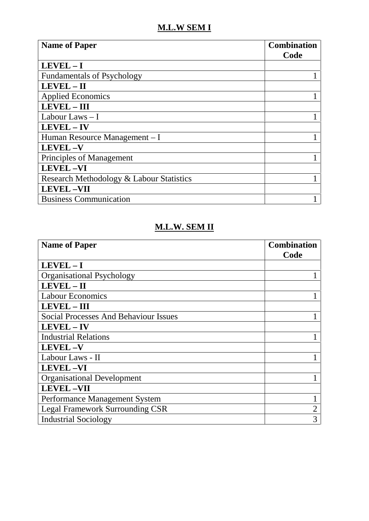## **M.L.W SEM I**

| <b>Name of Paper</b>                     | <b>Combination</b><br>Code |
|------------------------------------------|----------------------------|
| $LEVEL - I$                              |                            |
| <b>Fundamentals of Psychology</b>        |                            |
| LEVEL - II                               |                            |
| <b>Applied Economics</b>                 |                            |
| <b>LEVEL - III</b>                       |                            |
| Labour Laws $-I$                         |                            |
| <b>LEVEL-IV</b>                          |                            |
| Human Resource Management – I            |                            |
| <b>LEVEL-V</b>                           |                            |
| Principles of Management                 |                            |
| <b>LEVEL-VI</b>                          |                            |
| Research Methodology & Labour Statistics |                            |
| <b>LEVEL-VII</b>                         |                            |
| <b>Business Communication</b>            |                            |

## **M.L.W. SEM II**

| <b>Name of Paper</b>                         | <b>Combination</b> |
|----------------------------------------------|--------------------|
|                                              | Code               |
| $LEVEL - I$                                  |                    |
| <b>Organisational Psychology</b>             |                    |
| LEVEL-II                                     |                    |
| <b>Labour Economics</b>                      |                    |
| <b>LEVEL - III</b>                           |                    |
| <b>Social Processes And Behaviour Issues</b> |                    |
| LEVEL - IV                                   |                    |
| <b>Industrial Relations</b>                  |                    |
| <b>LEVEL-V</b>                               |                    |
| Labour Laws - II                             |                    |
| <b>LEVEL-VI</b>                              |                    |
| <b>Organisational Development</b>            |                    |
| <b>LEVEL-VII</b>                             |                    |
| Performance Management System                |                    |
| <b>Legal Framework Surrounding CSR</b>       | 2                  |
| <b>Industrial Sociology</b>                  | 3                  |